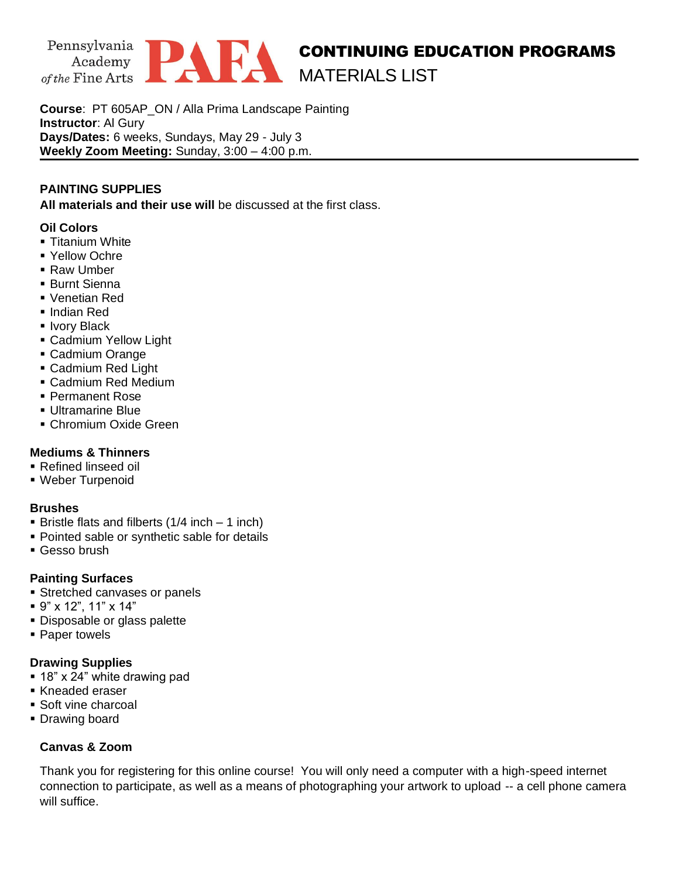

**Course**: PT 605AP\_ON / Alla Prima Landscape Painting **Instructor**: Al Gury **Days/Dates:** 6 weeks, Sundays, May 29 - July 3 **Weekly Zoom Meeting:** Sunday, 3:00 – 4:00 p.m.

## **PAINTING SUPPLIES**

**All materials and their use will** be discussed at the first class.

### **Oil Colors**

- **Titanium White**
- Yellow Ochre
- Raw Umber
- Burnt Sienna
- Venetian Red
- Indian Red
- **· Ivory Black**
- **E** Cadmium Yellow Light
- Cadmium Orange
- Cadmium Red Light
- Cadmium Red Medium
- Permanent Rose
- Ultramarine Blue
- **Chromium Oxide Green**

# **Mediums & Thinners**

- Refined linseed oil
- Weber Turpenoid

### **Brushes**

- **Example 1** Bristle flats and filberts  $(1/4$  inch 1 inch)
- Pointed sable or synthetic sable for details
- **Gesso brush**

# **Painting Surfaces**

- **EXTENDED CANCERS** Stretched canvases or panels
- 9" x 12", 11" x 14"
- **Disposable or glass palette**
- Paper towels

### **Drawing Supplies**

- $\bullet$  18" x 24" white drawing pad
- Kneaded eraser
- Soft vine charcoal
- **Drawing board**

# **Canvas & Zoom**

Thank you for registering for this online course! You will only need a computer with a high-speed internet connection to participate, as well as a means of photographing your artwork to upload -- a cell phone camera will suffice.